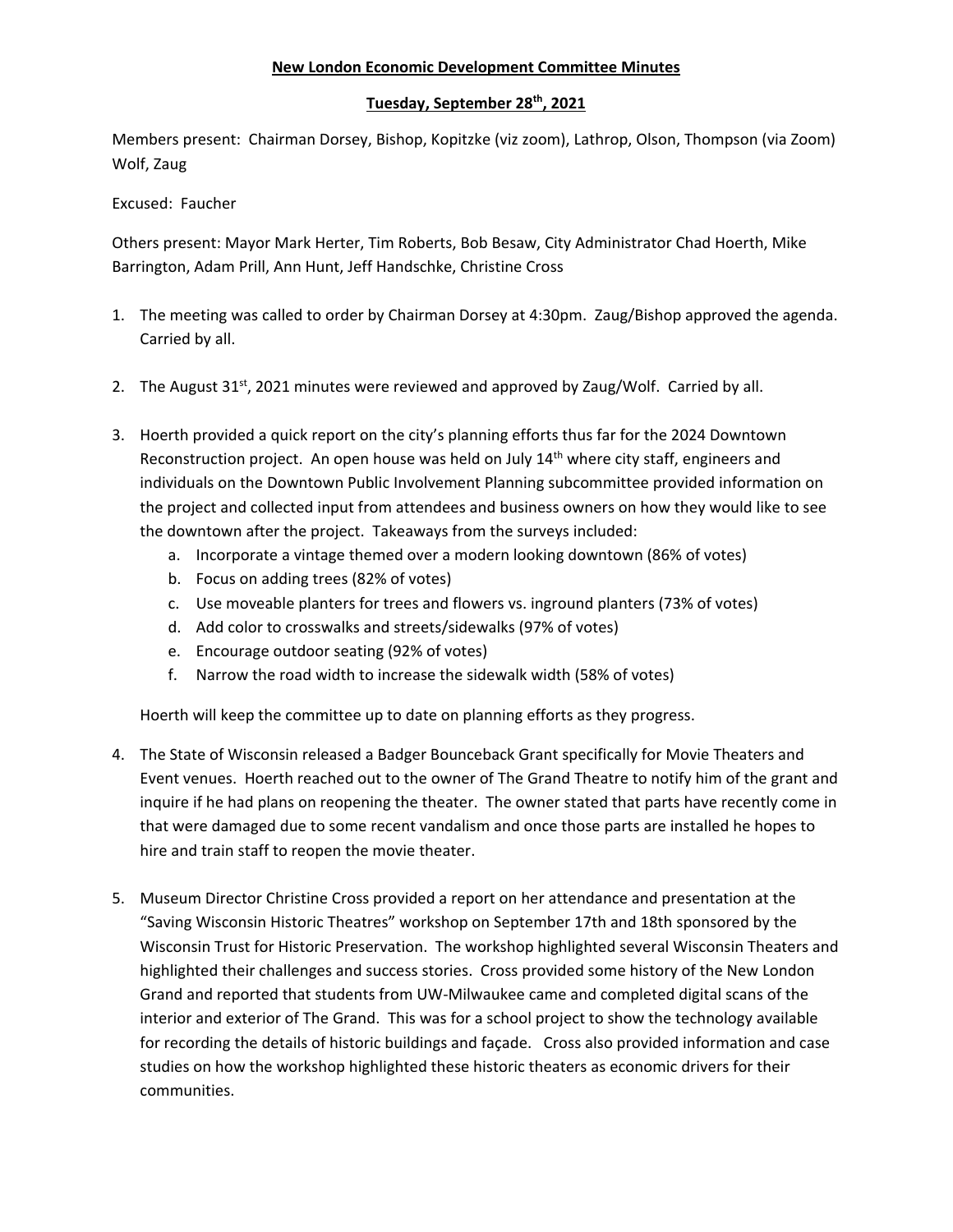## **New London Economic Development Committee Minutes**

## **Tuesday, September 28th, 2021**

Members present: Chairman Dorsey, Bishop, Kopitzke (viz zoom), Lathrop, Olson, Thompson (via Zoom) Wolf, Zaug

Excused: Faucher

Others present: Mayor Mark Herter, Tim Roberts, Bob Besaw, City Administrator Chad Hoerth, Mike Barrington, Adam Prill, Ann Hunt, Jeff Handschke, Christine Cross

- 1. The meeting was called to order by Chairman Dorsey at 4:30pm. Zaug/Bishop approved the agenda. Carried by all.
- 2. The August  $31<sup>st</sup>$ , 2021 minutes were reviewed and approved by Zaug/Wolf. Carried by all.
- 3. Hoerth provided a quick report on the city's planning efforts thus far for the 2024 Downtown Reconstruction project. An open house was held on July 14<sup>th</sup> where city staff, engineers and individuals on the Downtown Public Involvement Planning subcommittee provided information on the project and collected input from attendees and business owners on how they would like to see the downtown after the project. Takeaways from the surveys included:
	- a. Incorporate a vintage themed over a modern looking downtown (86% of votes)
	- b. Focus on adding trees (82% of votes)
	- c. Use moveable planters for trees and flowers vs. inground planters (73% of votes)
	- d. Add color to crosswalks and streets/sidewalks (97% of votes)
	- e. Encourage outdoor seating (92% of votes)
	- f. Narrow the road width to increase the sidewalk width (58% of votes)

Hoerth will keep the committee up to date on planning efforts as they progress.

- 4. The State of Wisconsin released a Badger Bounceback Grant specifically for Movie Theaters and Event venues. Hoerth reached out to the owner of The Grand Theatre to notify him of the grant and inquire if he had plans on reopening the theater. The owner stated that parts have recently come in that were damaged due to some recent vandalism and once those parts are installed he hopes to hire and train staff to reopen the movie theater.
- 5. Museum Director Christine Cross provided a report on her attendance and presentation at the "Saving Wisconsin Historic Theatres" workshop on September 17th and 18th sponsored by the Wisconsin Trust for Historic Preservation. The workshop highlighted several Wisconsin Theaters and highlighted their challenges and success stories. Cross provided some history of the New London Grand and reported that students from UW‐Milwaukee came and completed digital scans of the interior and exterior of The Grand. This was for a school project to show the technology available for recording the details of historic buildings and façade. Cross also provided information and case studies on how the workshop highlighted these historic theaters as economic drivers for their communities.